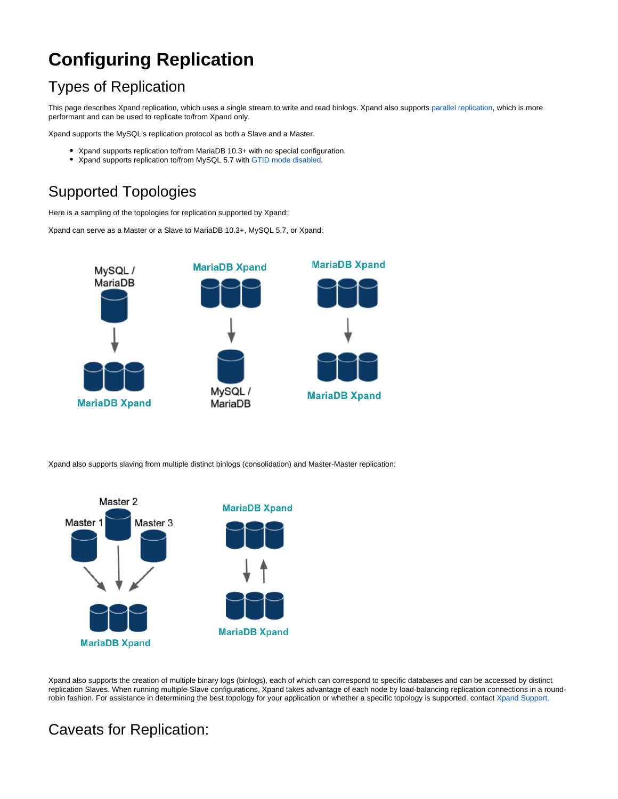## **Configuring Replication**

## Types of Replication

This page describes Xpand replication, which uses a single stream to write and read binlogs. Xpand also supports [parallel replication](https://docs.clustrix.com/display/CLXDOC/Parallel+Replication), which is more performant and can be used to replicate to/from Xpand only.

Xpand supports the MySQL's replication protocol as both a Slave and a Master.

- Xpand supports replication to/from MariaDB 10.3+ with no special configuration.
- Xpand supports replication to/from MySQL 5.7 with [GTID mode disabled](https://docs.clustrix.com/display/CLXDOC/Using+Xpand+as+a+Replication+Master#UsingXpandasaReplicationMaster-MySQL_5.7_Replication_and_GTIDs).

## Supported Topologies

Here is a sampling of the topologies for replication supported by Xpand:

Xpand can serve as a Master or a Slave to MariaDB 10.3+, MySQL 5.7, or Xpand:



Xpand also supports slaving from multiple distinct binlogs (consolidation) and Master-Master replication:



Xpand also supports the creation of multiple binary logs (binlogs), each of which can correspond to specific databases and can be accessed by distinct replication Slaves. When running multiple-Slave configurations, Xpand takes advantage of each node by load-balancing replication connections in a roundrobin fashion. For assistance in determining the best topology for your application or whether a specific topology is supported, contact [Xpand Support.](https://support.clustrix.com) 

## Caveats for Replication: